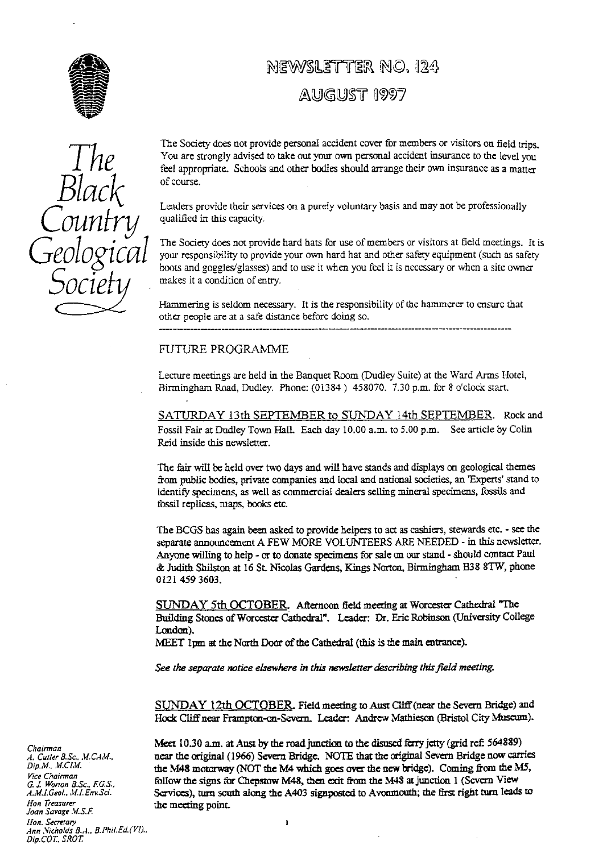

# NEWSLETTER NO. 124

## AUGUST 1997

The Society does not provide personal accident cover for members or visitors on field trips. You are strongly advised to take out your own personal accident insurance to the level you feel appropriate. Schools and other bodies should arrange their own insurance as a matter of course.

Leaders provide their services on a purely voluntary basis and may not be professionally qualified in this capacity.

The Society does not provide hard hats for use of members or visitors at field meetings. It is your responsibility to provide your own hard hat and other safety equipment (such as safety boots and goggles/glasses) and to use it when you feel it is necessary or when a site owner makes it a condition of ent**ry**.

Hammering is seldom necessary. It is the responsibility of the hammerer to ensure that other people are at a safe distance before doing so.

#### FUTURE PROGRAMME

Lecture meetings are held in the Banquet Room (Dudley Suite) at the Ward Arms Hotel, Birmingham Road, Dudley. Phone: (01384) 458070. 7.30 p.m. for 8 o'clock start.

SATURDAY 13th SEPTEMBER to SUNDAY 14th SEPTEMBER. Rock and Fossil Fair at Dudley Town Hall. Each day 10.00 a.m. to 5.00 p.m. See article by Colin Reid inside this newsletter.

The fair will be held over two days and will have stands and displays on geological themes from public bodies, private companies and local and national societies, an 'Experts' stand to identify specimens, as well as commercial dealers selling mineral specimens, fossils and fossil replicas, maps, books etc.

The BCGS has again been asked to provide helpers to act as cashiers, stewards etc. - see the separate announcement A FEW MORE VOLUNTEERS ARE NEEDED - in this newsletter. Anyone willing to help - or to donate specimens for sale on our stand - should contact Paul & Judith Shilston at 16 St. Nicolas Gardens, Kings Norton, Birmingham B38 8TW, phone 0I21 459 3603.

SUNDAY 5th OCTOBER Afternoon field meeting at Worcester Cathedral "The Building Stones of Worcester Cathedral". Leader: Dr. Eric Robinson (University College London).

MEET 1pm at the North Door of the Cathedral (this is the main entrance).

 $\mathbf{I}$ 

*See the separate notice elsewhere* in this *nemktter describing this field meeting.*

SUNDAY 12th OCTOBER Field meeting to Aust Cliff (near the Severn Bridge) and Hock Cliff near Frampton-on-Severn. Leader Andrew Mathieson (Bristol City Museum).

Meet 10.30 a.m. at Aust by the road junction to the disused ferry jetty (grid ref: 564889) near the original (1966) Severn Bridge. NOTE that the orig**in**al Severn Bridge now carries the M48 motorway (NOT the M4 which goes over the new bridge). Coming from the M5, follow the signs for Chepstow M48, then exit from the M48 at junction 1 (Severn View Services), turn south along **the** A403 signposted to Avonmouth; the first right turn leads to the meeting point.



*Chairman* A. Cutler B.Sc., M.CAM. *Dip.M..* M.CZM. *Vice Chairman* G. J. Worron S.Sc.. F.GS. A.M.I.Geol., M.I. Env.Sci. Hon Treasurer *Joan* Savage M S.E *Hon. Secretary Ann .Vicirolds B.A.. B.PhiLEd.(VD.. Dip.COT. SROT.*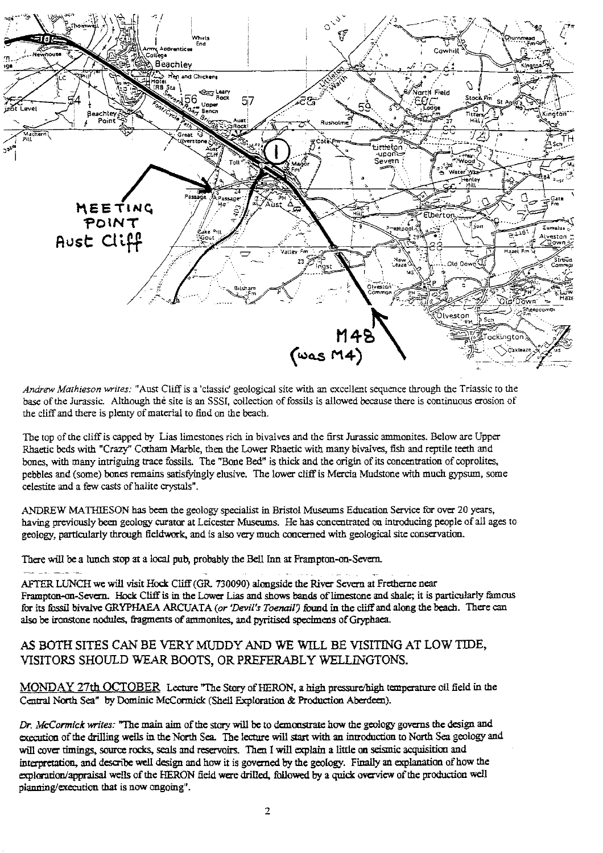

*Andrew Mathieson writes:* "Asst Cliff is a 'classic' geological site with an excellent sequence through the Triassic to the base of the Jurassic. Although the site is an SSSI, collection of fossils is allowed because there is continuous erosion of the cliff and there is plenty of material to find on the beach.

The top of **the** cliff is capped by Lias limestones rich in bivalves and the first Jurassic ammonites. Below are Upper Rhaetic beds with "Crazy" Cotham **M**arble, then the Lower Rhaetic with many bivalves, fish and reptile teeth and bones, with many intriguing trace fossils. The 'Bone Bed" is thick and the origin of its concentration of coprolites, pebbles and (some) bones remains satisfyingly elusive. The lower cliff is Mercia Mudstone with much gypsum, some celestite and a few casts of halite crystals".

ANDREW MATHIESON has **be**en the geology specialist in Bristol Museums Education Service for over 20 years, having previously been geology curator at Leicester Museums. He has concentrated on introducing people of all ages to geology, particularly through fieldwork, and is also very much concerned with geological site conservation\_

There will be a lunch stop at a local pub, probably the Bell Inn at Frampton-on-Severn.

AFTER LUNCH we will visit Hock Cliff (GR 730090) alongside the River Severn at Fretherne near Frampton-on-Severn. Hock Cliff is in the Lower Lias and shows bands of limestone and shale; it is particularly famous for its fossil bivalve GRYPHAEA ARCUATA *(or 'Devil's Toenail9* found in the cliff and along the beach. There can also be ironstone nodules, fragments of ammonites, and pyritised specimens of Gryphaea.

## AS BOTH SITES CAN BE VERY MUDDY AND WE WILL BE VISITING AT LOW TIDE, VISITORS SHOULD WEAR BOOTS, OR PREFERABLY WELLINGTONS.

MONDAY 27th OCTOBER Lecture "The Story of HERON, a high pressure/high temperature oil field in the Central North Sea" by Dominic McCormick (Shell Exploration & Production Aberdeen).

*Dr. McCormick writes:* "The main aim of the story will be to demonstrate how the geology governs the design and execution of the drilling wells in the North Sea. The lecture will start with an introduction to North Sea geology and will cover timings, source rocks, seals and reservoirs. Then I will explain a little on seismic acquisition and interpretation, and describe well design and how it is governed by the geology. Finally an explanation of how the exploration/appraisal wells of the HERON field were drilled, followed by a quick overview of the production well planning/execution that is now **ongoing".**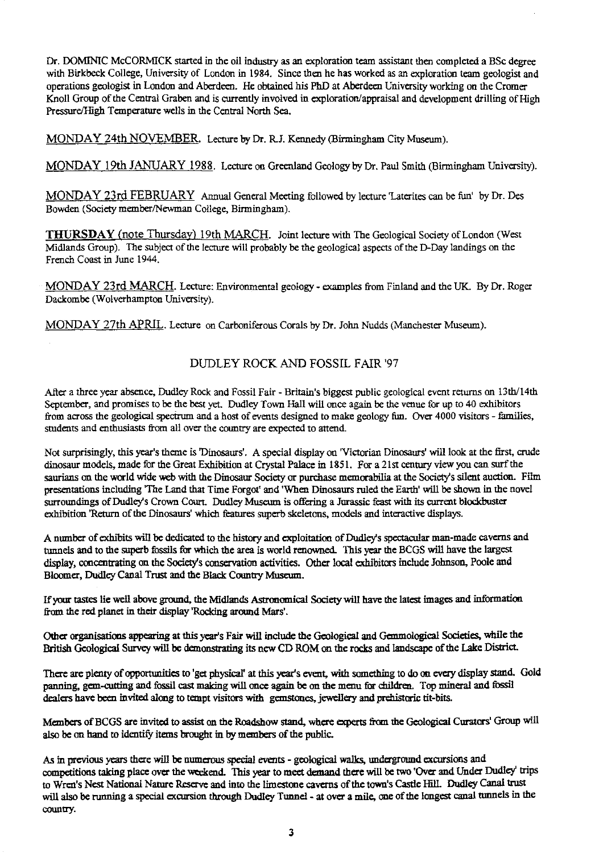Dr. DOMINIC McCORMICK started in the oil industry as an exploration team assistant then completed a BSc degree with Birkbeck College, University of London in 1984. Since then he has worked as an exploration team geologist and operations geologist in London and Aberdeen. He obtained his PhD at Aberdeen University working on the Cromer Knoll Group of the Central Graben and is currently involved in exploration/appraisal and development drilling of High Pressure/High Temperature wells in the Central North Sea.

MONDAY 24th NOVEMBER. Lecture by Dr. RJ. Kennedy (Birmingham City Museum).

MONDAY 19th JANUARY 1988 . Lecture on Greenland Geology by Dr. Paul Smith (Birmingham University).

MONDAY 23rd FEBRUARY Annual General Meeting followed by lecture 'Laterites can be fun' by Dr. Des Bowden (Society member/Newman College, Birmingham).

THURSDAY (note Thursday) 19th MARCH. Joint lecture with The Geological Society of London (West Midlands Group). The subject of the lecture will probably be the geological aspects of the D-Day landings on the French Coast in June 1944.

MONDAY 23rd MARCH. Lecture: Environmental geology - examples from Finland and the UK. By Dr. Roger Dackombe (Wolverhampton University).

MONDAY 27th APRIL . Lecture on Carboniferous Corals by Dr. John Nudds (Manchester Museum).

## DUDLEY ROCK AND FOSSIL FAIR'97

After a three year absence, Dudley Rock and Fossil Fair - Britain's biggest public geological event returns on 13th/14th September, and promises to be the best yet. Dudley Town Hall will once again be the venue for up to 40 exhibitors from across the geological spectrum and a host of events designed to make geology fm. Over 4000 visitors - families, students and enthusiasts from all over the country are expected to attend.

Not surprisingly, this year's theme is 'Dinosaurs'. A special display on 'Victorian Dinosaurs' will look at the first, crude dinosaur models, made for the Great Exhibition at Crystal Palace in 1851. For a 21st century view you can surf the saurians on the world wide web with the Dinosaur Society or purchase memorabilia at the Society's silent auction. Film presentations including 'The Land that Time Forgot' and 'When Dinosaurs ruled the Earth' will be shown in the novel surroundings of Dudley's Crown Court. Dudley Museum is offering a Jurassic feast with its current blockbuster exhibition 'Return of the Dinosaurs' which features superb skeletons, models and interactive displays.

A number of exhibits will be dedicated to the history and exploitation of Dudley's spectacular man-made caverns and tunnels and to the superb fossils for which the area is world renowned. This year the BCGS will have the largest display, concentrating on the Society's conservation activities. Other local exhibitors include Johnson, Poole and Bloomer, Dudley Canal Trust and the Black Country Museum.

if **your tastes he** well above ground, the Midlands Astronomical Society will have the latest images and information from the red planet in their display Rocking around Mars'.

Other organisations appearing at this year's Fair will include the Geological and Gemmological Societies, while the British Geological Survey will be demonstrating its new CD ROM on the rocks and landscape of the Lake District

There are plenty of opportunities to 'get physical' at this year's event, with something to do on every display stand. Gold panning, gem-cutting and fossil cast making will once again be on the menu for children. Top mineral and fossil dealers have been invited along to tempt visitors with gemstones, jewellery and prehistoric tit-bits.

Members of BCGS are invited to assist on the Roadshow stand, where experts from the Geological Curators' Group will also be on hand to identify items brought in by members of the public.

As in previous years there will be numerous special events - geological walks, underground excursions and competitions taking place over the weekend. This year to meet demand there will be two 'Over and Under Dudley' trips to Wren's Nest National Nature Reserve and into the limestone caverns of the town's Castle HIlL **Dudley** Canal trust will also be running a special excursion through Dudley Tunnel - at over a mile, one of the longest canal tunnels in the country.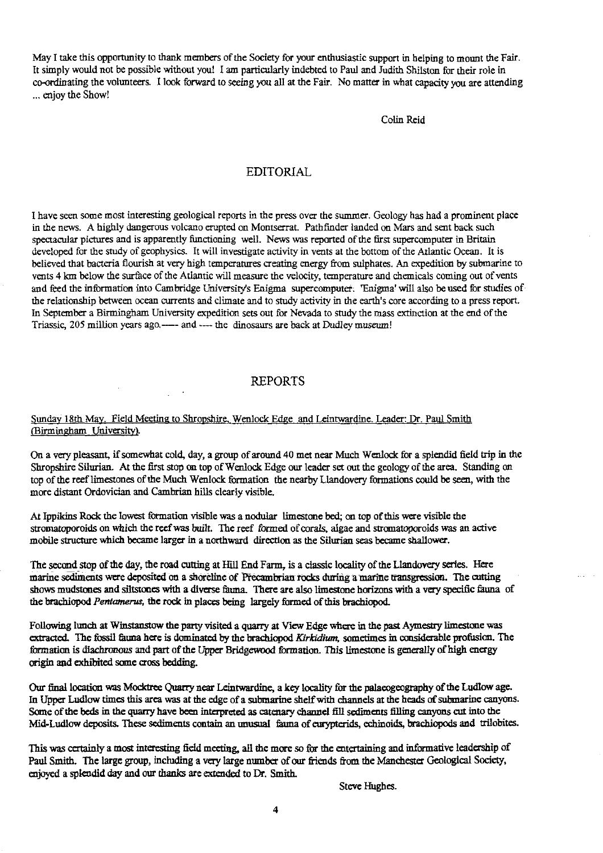May I take this opportunity to thank members of the Society for your enthusiastic support in helping to mount the Fair. It simply would not be possible without you! I am particularly indebted to Paul and Judith Shilston for their role in co-ordinating the volunteers. I look forward to seeing you all at the Fair. No matter in what capacity you are attending ... enjoy the Show!

Colin Reid

## EDITORIAL

I have seen some most interesting geological reports in the press over the summer. Geology has had a prominent place in the news. A highly dangerous volcano erupted on Montserrat. Pathfinder landed on Mars and sent back such spectacular pictures and is apparently functioning well. News was reported of the first supercomputer in Britain developed for the study of geophysics. It will investigate activity in vents at the bottom of the Atlantic Ocean. It is believed that bacteria flourish at very high temperatures creating energy from sulphates. An expedition by submarine to vents 4 km below the surface of the Atlantic will measure the velocity, temperature and chemicals coming out of vents and feed the information into Cambridge University's Enigma supercomputer. 'Enigma' will also be used for studies of the relationship between ocean currents and climate and to study activity in the earth's core according to a press report. In September a Birmingham University expedition sets out for Nevada to study the mass extinction at the end of the Triassic, 205 million years ago.---- and ---- the dinosaurs are back at Dudley museum!

#### REPORTS

#### Sunday 18th May. Field Meeting to Shropshire, Wenlock Edge and Leintwardine. Leader: Dr. Paul Smith (Birmingham University).

On a very pleasant, if somewhat cold, day, a group of around 40 met near Much Wenlock for a splendid field trip in the Shropshire Silurian. At the first stop on top of Wenlock Edge our leader set out the geology of the area. Standing on top of the reef limestones of the Much Wenlock formation the nearby Llandovery formations could be seen, with the more distant Ordovician and Cambrian hills clearly visible.

At Ippikins Rock the lowest formation visible was a nodular limestone bed; on top of this were visible the stromatoporoids on which the reef was built. The reef formed of corals, algae and stromatoporoids was an active mobile structure which became larger in a northward direction as the Silurian seas became shallower.

The second stop of the day, the road cutting at Kill End Farm, is a classic locality of the Llandovery series. Here marine sediments were deposited on a shoreline of Precambrian rocks during a marine transgression. The cutting shows mudstones and siltstones with a diverse fauna. There are also limestone horizons with a very specific fauna of the brachiopod *Pentamenrs,* the rock in places being largely *formed of this* brachiopod.

Following lunch at Winstanstow the party visited a quarry at View Edge where in the past Aymestry limestone was extracted. The fossil fauna here is dominated by the brachiopod *Kirkrdium,* **sometimes** *in considerable profusion.* The formation is diachronous and part of the Upper Bridgewood formation. This limestone is generally of high energy origin and exhibited some cross bedding.

Our final location was Mocktree Quarry near Leintwardine, *a key locality for the* palaeogeography of the Ludlow age. In Upper Ludlow times this area was at the edge of a submarine shelf with channels at the *heads of* submarine canyons. Some of the beds in the quarry have been interpreted as catenary channel fill sediments filling canyons cut into the Mid Ludlow deposits. These sediments contain an unusual fauna of eurypterids, echinoids, brachiopods and trilobites.

This was certainly a most interesting field meeting, all the more so for the entertaining and informative leadership of Paul Smith. The large group, including a very large number of **our** friends from the Manchester Geological Society, enjoyed a splendid day and our thanks are extended to Dr. Smith.

Steve Hughes.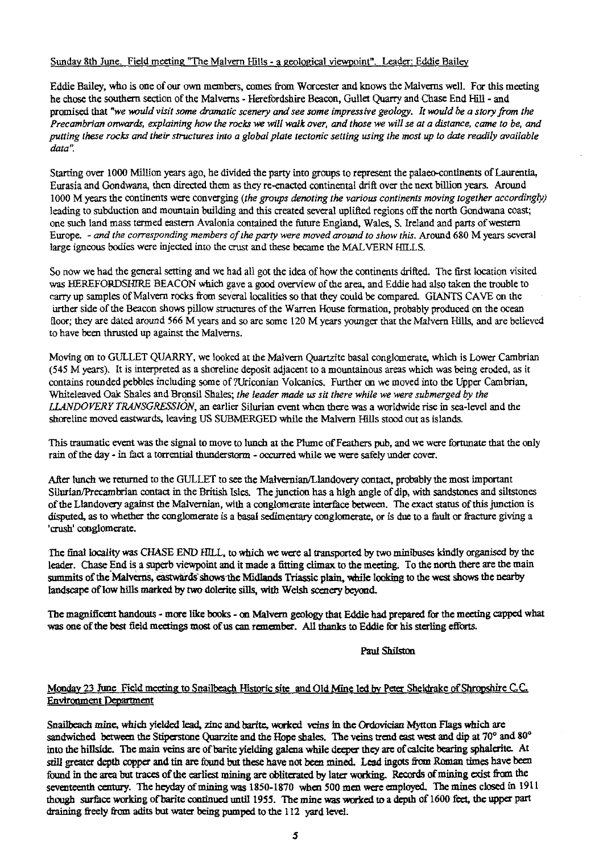## Sunday 8th June. Field meeting "The Malvern Hills - a geological viewpoint". Leader: Eddie Bail

Eddie Bailey, who is one of our own members, comes from Worcester and knows the Malverns well. For this meeting he chose the southern section of the Malverns - Herefordshire Beacon, Gullet Quarry and Chase End Hill - and promised that *"we would visit some dramatic scenery and see some impressive geology. It would be a story from the Precambrian onwards, explaining how the rocks we will walk over, and* those *we will se at a distance, came to be, and putting these rocks and their structures into a global plate tectonic setting using the most up to date readily available data".*

Starting over 1000 Million years ago, he divided the party into groups to represent the palaeo-continents of Laurentia, Eurasia and *Gondwana,* then directed them as they re-enacted continental drift over the next billion years. Around 1000 M years the continents were converging *(the groups denoting the various continents moving together accordingly)* leading to subduction and mountain building and this created several uplifted regions off the north Gondwana coast; one such land mass termed eastern Avalonia contained the future England, Wales, S. Ireland and parts of western Europe. - *and the corresponding members of the party were moved around to show this.* Around 680 M years several large igneous bodies were injected into the crust and these became the MALVERN HILLS.

So now we had the general setting and we had all got the idea of how the continents drifted. The first location visited was HEREFORDSHIRE BEACON which gave a good overview of the area, and Eddie had also taken the trouble to carry up samples of Malvern rocks from several localities so that they could be compared. GIANTS CAVE on the iirther side of the Beacon shows pillow structures of the Warren House formation, probably produced on the ocean floor; they are dated around 566 M years and so are some 120 M years younger that the Malvern Hills, and are believed to have been thrusted up against the Malverns.

Moving on to GULLET QUARRY, we looked at the Malvern Quartzite basal conglomerate, which is Lower Cambrian (545 M years). It is interpreted as a shoreline deposit adjacent to a mountainous areas which was being eroded, as it contains rounded pebbles including some of ?Uriconian VoIcanics. Further on we moved into the Upper Cambrian, Whiteleaved Oak Shales and Bronsil Shales; *the leader made us sit there while we were submerged by the LL4NDOVERY TRANSGRESSION,* an earlier Silurian event when there was a worldwide rise in sea-level and the shoreline moved eastwards, leaving US SUBMERGED while the Malvern Hills stood out as islands.

This traumatic event was the signal to move to *lunch* at the Plume of Feathers *pub,* and we were fortunate that the only rain of the day - in fact a torrential thunderstorm - occurred while we were safely under cover.

After lunch we returned to the GULLET to see the Malvernian/Llandovery contact, probably the most important Silurian/Precambrian contact in the British Isles. The junction has a high angle of dip, *with* sandstones and siltstones of the Llandovery against the Malvernian, with a conglomerate interface between. The exact status of this junction is disputed, as to whether the conglomerate is a basal sedimentary conglomerate, or is due to a fault or fracture giving a 'crush' conglomerate.

The final locality was CHASE END *HILL,* to which we were al transported by two minibuses kindly organised by the leader. Chase End is a superb viewpoint and it made a fitting climax to the meeting. To the north there are the main summits of the Malverns, eastwards shows the Midlands Triassic plain, while looking to the west shows the nearby landscape of low hills marked by two dolente sills, with Welsh scenery beyond.

The magnificent handouts - more like books - on Malvern geology that Eddie had prepared for the meeting capped what was one of the best field meetings most of us can remember. All thanks to Eddie for his sterling efforts.

#### Paul Shilston

## Monday 23 June Field meeting to Snailbeach Historic site and Old Mine led by Peter Sheldrake of Shropshire C.C. Environment Department

Snaiibeach mine, which yielded lead, zinc and barite, worked veins in the Ordovician Mytton Flags which are sandwiched between the Stiperstone Quarzite and the Hope shales. The veins trend east west and dip **at** 70° and 80° into the hillside. The main veins are of barite yielding galena while deeper they are of calcite bearing sphalerite. At still greater depth copper and tin are found but these have not been mined. Lead ingots from Roman times have been found in the area but traces of the earliest mining are obliterated by later working. Records of mining exist from the seventeenth century. The heyday of mining was 1850-1870 when 500 men were employed. The mines closed in 1911 though surface working of barite continued until 1955. The mine was worked to a **depth** of 1600 feet, the upper part draining freely from adits but water being pumped to the 112 yard level.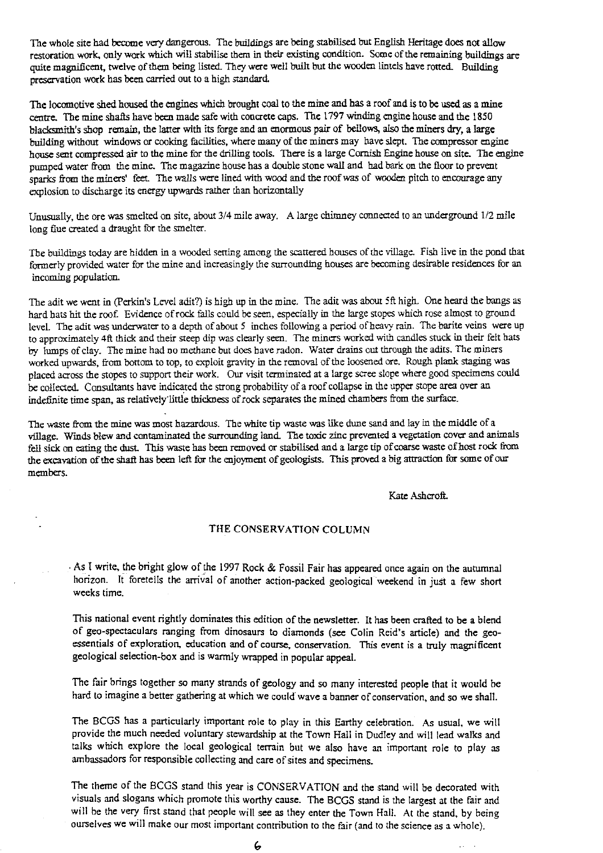The whole site had become very dangerous. The buildings are being *stabilised* but English Heritage does not allow restoration work, only work which will stabilise them in their existing condition. Some of the remaining buildings are quite magnificent, twelve of them being listed. They were well built but the wooden lintels have rotted. Building preservation work has been carried out to a high standard

The locomotive *shed* housed the engines which brought *coal to the* mine and *has a* roof and is to be used as a mine centre. The mine *shafts* have been made safe with concrete caps. The 1797 winding engine house and the 1\$50 blacksmith's shop remain, the latter with its forge and an enormous pair of bellows, also the miners dry, a large building without windows or cooking facilities, where many of the miners may have slept. The compressor engine house sent compressed air to the mine for the drilling tools. There is a large Cornish Engine house on site. The engine pumped water from the mine. The magazine house has a double stone wall and had bark on the floor to prevent sparks from the miners' feet. The *walls* were Iined with wood and *the* roof was *of* wooden pitch to encourage any explosion to discharge *its* energy upwards rather than horizontally

Unusually, the ore was smelted on site, about 3/4 mile away. A large chimney connected to an underground 1/2 mile long flue created a draught for the smelter.

The buildings today are hidden in a wooded setting among the scattered houses of the village. Fish live in the pond that formerly provided water for the mine and increasingly the surrounding houses are becoming desirable residences for an incoming population.

The adit we went in (Perkin's Level adit?) is high up in the mine. The adit was about 5ft high. One heard the bangs as hard hats hit the roof. Evidence *of* rock fails could be seen, especially in the large stopes which rose almost to ground level. The adit was underwater to a depth of about 5 inches following a period of heavy rain. The barite veins were up to approximately 4ft thick and their steep dip was clearly seen. The miners worked with candles stuck in their felt hats by lumps of clay. The mine had no methane but does have radon. Water drains out through the adits. The miners worked upwards, from bottom to top, to exploit gravity in the removal of the loosened ore. Rough plank staging was placed across the stopes to support their work. Our visit terminated at a large scree slope where good specimens could be collected. Consultants have indicated the strong probability *of* a roof collapse in the upper stope area over an indefinite time span, as relatively little thickness of rock separates the mined chambers from the surface.

The waste from the mine was most hazardous. The white tip waste was like dune sand and lay in the middle of a village. Winds blew and contaminated the surrounding land. The toxic zinc prevented a vegetation cover and animals fell sick on eating the dust. This waste has been removed or stabilised and a large tip of coarse waste of host rock from the excavation of the shaft has been left for the enjoyment of geologists. This proved a big attraction for some of our members.

Kate Ashcroft.

#### THE CONSERVATION COLUMN

• As I write, the bright glow of the 1997 **Rock & Fossil Fair has** appeared once again on the autumnal horizon. It foretells the arrival of another action-packed geological weekend in just a few short weeks time\_

This national event rightly dominates this edition of the newsletter. It has been crafted to be a blend of geo-spectaculars ranging from dinosaurs to diamonds (see Colin Reid's article) and the geoessentials of exploration, education and of course, conservation. This event is a truly magnificent geological selection-box and is warmly wrapped in popular appeal.

The fair brings together so many strands of geology and so many interested people that it would be hard to imagine a better gathering at which we could wave a banner of conservation, and so we shall.

The BCGS has a particularly important role to play in this Earthy celebration. As usual, we will provide the much needed voluntary stewardship at the Town Hall in Dudley and will lead walks and talks which explore the local geological terrain but we also have an important role to play as ambassadors for responsible collecting and care of sites and specimens.

The theme of the BCGS stand this year is CONSERVATION and the stand will be decorated with visuals and slogans which promote this worthy cause. The BCGS stand is the largest at the fair and will be the very first stand that people will see as they enter the Town Hall. At the stand, by being ourselves we will make our most important contribution to the fair (and to the science as a whole).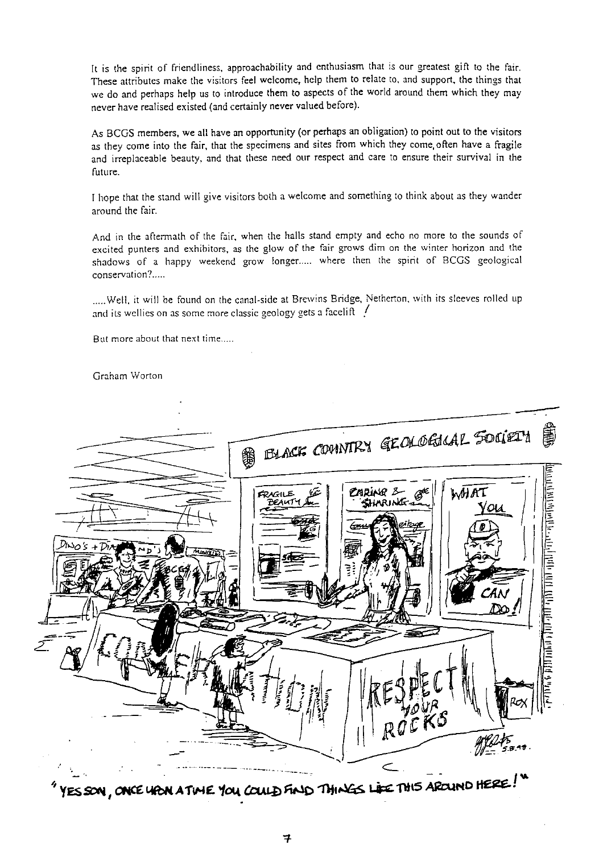It is the spirit of friendliness, approachability and enthusiasm that is our greatest gift to the fair. These attributes make the visitors feel welcome, help them to relate to, and support, the things that we do and perhaps help us to introduce them to aspects of the world around them which they may never have realised existed (and certainly never valued before).

As BCGS members, we all have an opportunity (or perhaps an obligation) to point out to the visitors as they come into the fair, that the specimens and sites from which they come, often have a fragile and irreplaceable beauty, and that these need our respect and care to ensure their survival in the future.

I hope that the stand will give visitors both a welcome and something to think about as they wander around the fair.

And in the aftermath of the fair, when the halls stand empty and echo no more to the sounds of excited punters and exhibitors, as the glow of the fair grows dim on the winter horizon and the shadows of a happy weekend grow longer..... where then the spirit of BCGS geological conservation?.....

.....Well, it will be found on the canal-side at Brewins Bridge, Netherton, with its sleeves rolled up and its wellies on as some more classic geology gets a facelift  $\frac{1}{2}$ 

But more about that next time

Graham Worton



**YES SON, ONCE HION A TWE YOU COULD FIND THINGS LIKE THIS AROUND HERE!**